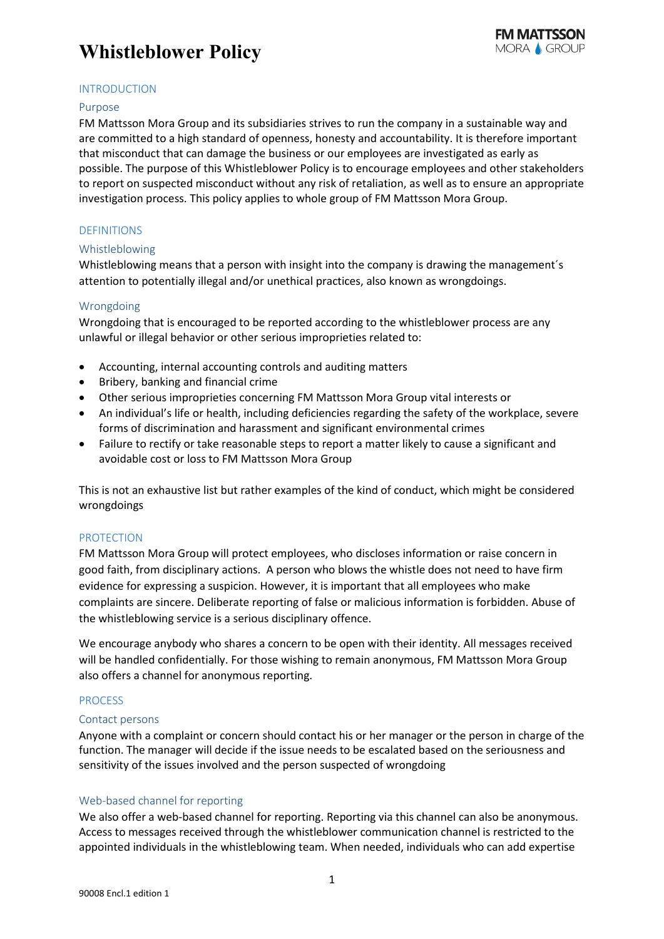## **Whistleblower Policy**

## **INTRODUCTION**

#### Purpose

FM Mattsson Mora Group and its subsidiaries strives to run the company in a sustainable way and are committed to a high standard of openness, honesty and accountability. It is therefore important that misconduct that can damage the business or our employees are investigated as early as possible. The purpose of this Whistleblower Policy is to encourage employees and other stakeholders to report on suspected misconduct without any risk of retaliation, as well as to ensure an appropriate investigation process. This policy applies to whole group of FM Mattsson Mora Group.

## DEFINITIONS

#### Whistleblowing

Whistleblowing means that a person with insight into the company is drawing the management´s attention to potentially illegal and/or unethical practices, also known as wrongdoings.

#### Wrongdoing

Wrongdoing that is encouraged to be reported according to the whistleblower process are any unlawful or illegal behavior or other serious improprieties related to:

- Accounting, internal accounting controls and auditing matters
- Bribery, banking and financial crime
- Other serious improprieties concerning FM Mattsson Mora Group vital interests or
- An individual's life or health, including deficiencies regarding the safety of the workplace, severe forms of discrimination and harassment and significant environmental crimes
- Failure to rectify or take reasonable steps to report a matter likely to cause a significant and avoidable cost or loss to FM Mattsson Mora Group

This is not an exhaustive list but rather examples of the kind of conduct, which might be considered wrongdoings

#### PROTECTION

FM Mattsson Mora Group will protect employees, who discloses information or raise concern in good faith, from disciplinary actions. A person who blows the whistle does not need to have firm evidence for expressing a suspicion. However, it is important that all employees who make complaints are sincere. Deliberate reporting of false or malicious information is forbidden. Abuse of the whistleblowing service is a serious disciplinary offence.

We encourage anybody who shares a concern to be open with their identity. All messages received will be handled confidentially. For those wishing to remain anonymous, FM Mattsson Mora Group also offers a channel for anonymous reporting.

## PROCESS

## Contact persons

Anyone with a complaint or concern should contact his or her manager or the person in charge of the function. The manager will decide if the issue needs to be escalated based on the seriousness and sensitivity of the issues involved and the person suspected of wrongdoing

## Web-based channel for reporting

We also offer a web-based channel for reporting. Reporting via this channel can also be anonymous. Access to messages received through the whistleblower communication channel is restricted to the appointed individuals in the whistleblowing team. When needed, individuals who can add expertise